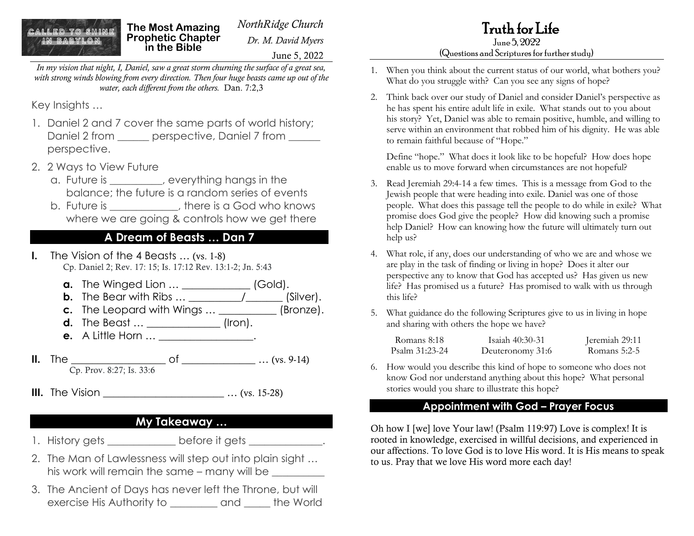# LED TO SHINE

*NorthRidge Church* **The Most Amazing Prophetic Chapter in the Bible**

*Dr. M. David Myers*

June 5, 2022

*In my vision that night, I, Daniel, saw a great storm churning the surface of a great sea, with strong winds blowing from every direction. Then four huge beasts came up out of the water, each different from the others.* Dan. 7:2,3

Key Insights …

- 1. Daniel 2 and 7 cover the same parts of world history; Daniel 2 from \_\_\_\_\_\_\_ perspective, Daniel 7 from \_\_\_\_\_\_ perspective.
- 2. 2 Ways to View Future
	- a. Future is \_\_\_\_\_\_\_\_\_\_, everything hangs in the balance; the future is a random series of events
	- b. Future is  $\qquad \qquad$  there is a God who knows where we are going & controls how we get there

### **A Dream of Beasts … Dan 7**

- **I.** The Vision of the 4 Beasts … (vs. 1-8) Cp. Daniel 2; Rev. 17: 15; Is. 17:12 Rev. 13:1-2; Jn. 5:43
	- **a.** The Winged Lion ... \_\_\_\_\_\_\_\_\_\_\_\_\_\_ (Gold).
	- **b.** The Bear with Ribs … \_\_\_\_\_\_\_\_\_\_/\_\_\_\_\_\_\_ (Silver).
	- **c.** The Leopard with Wings ... \_\_\_\_\_\_\_\_\_\_\_ (Bronze).
	- **d.** The Beast ... \_\_\_\_\_\_\_\_\_\_\_\_\_\_\_\_ (Iron). **e.** A Little Horn ... **a**
- **II.** The \_\_\_\_\_\_\_\_\_\_\_\_\_\_\_\_\_\_ of \_\_\_\_\_\_\_\_\_\_\_\_\_\_ … (vs. 9-14) Cp. Prov. 8:27; Is. 33:6
- **III.** The Vision  $\ldots$  (vs. 15-28)

### **My Takeaway …**

- 1. History gets \_\_\_\_\_\_\_\_\_\_\_\_\_ before it gets \_\_\_\_\_\_\_\_\_\_\_\_.
- 2. The Man of Lawlessness will step out into plain sight … his work will remain the same – many will be \_\_\_\_\_\_\_\_\_\_
- 3. The Ancient of Days has never left the Throne, but will exercise His Authority to \_\_\_\_\_\_\_\_\_ and \_\_\_\_\_ the World

#### June 5, 2022 (Questions and Scriptures for further study)

- 1. When you think about the current status of our world, what bothers you? What do you struggle with? Can you see any signs of hope?
- 2. Think back over our study of Daniel and consider Daniel's perspective as he has spent his entire adult life in exile. What stands out to you about his story? Yet, Daniel was able to remain positive, humble, and willing to serve within an environment that robbed him of his dignity. He was able to remain faithful because of "Hope."

Define "hope." What does it look like to be hopeful? How does hope enable us to move forward when circumstances are not hopeful?

- 3. Read Jeremiah 29:4-14 a few times. This is a message from God to the Jewish people that were heading into exile. Daniel was one of those people. What does this passage tell the people to do while in exile? What promise does God give the people? How did knowing such a promise help Daniel? How can knowing how the future will ultimately turn out help us?
- 4. What role, if any, does our understanding of who we are and whose we are play in the task of finding or living in hope? Does it alter our perspective any to know that God has accepted us? Has given us new life? Has promised us a future? Has promised to walk with us through this life?
- 5. What guidance do the following Scriptures give to us in living in hope and sharing with others the hope we have?

| Romans 8:18    | Isaiah 40:30-31  | Jeremiah 29:11 |
|----------------|------------------|----------------|
| Psalm 31:23-24 | Deuteronomy 31:6 | Romans $5:2-5$ |

6. How would you describe this kind of hope to someone who does not know God nor understand anything about this hope? What personal stories would you share to illustrate this hope?

#### **Appointment with God – Prayer Focus**

Oh how I [we] love Your law! (Psalm 119:97) Love is complex! It is rooted in knowledge, exercised in willful decisions, and experienced in our affections. To love God is to love His word. It is His means to speak to us. Pray that we love His word more each day!